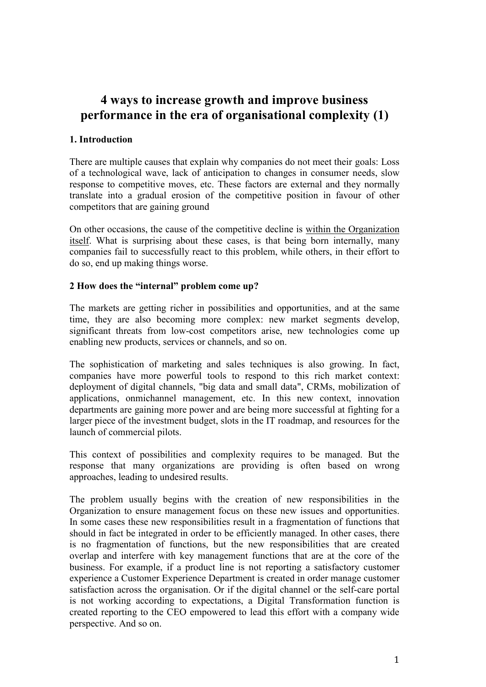# 4 ways to increase growth and improve business performance in the era of organisational complexity (1)

### 1. Introduction

There are multiple causes that explain why companies do not meet their goals: Loss of a technological wave, lack of anticipation to changes in consumer needs, slow response to competitive moves, etc. These factors are external and they normally translate into a gradual erosion of the competitive position in favour of other competitors that are gaining ground

On other occasions, the cause of the competitive decline is within the Organization itself. What is surprising about these cases, is that being born internally, many companies fail to successfully react to this problem, while others, in their effort to do so, end up making things worse.

#### 2 How does the "internal" problem come up?

The markets are getting richer in possibilities and opportunities, and at the same time, they are also becoming more complex: new market segments develop, significant threats from low-cost competitors arise, new technologies come up enabling new products, services or channels, and so on.

The sophistication of marketing and sales techniques is also growing. In fact, companies have more powerful tools to respond to this rich market context: deployment of digital channels, "big data and small data", CRMs, mobilization of applications, onmichannel management, etc. In this new context, innovation departments are gaining more power and are being more successful at fighting for a larger piece of the investment budget, slots in the IT roadmap, and resources for the launch of commercial pilots.

This context of possibilities and complexity requires to be managed. But the response that many organizations are providing is often based on wrong approaches, leading to undesired results.

The problem usually begins with the creation of new responsibilities in the Organization to ensure management focus on these new issues and opportunities. In some cases these new responsibilities result in a fragmentation of functions that should in fact be integrated in order to be efficiently managed. In other cases, there is no fragmentation of functions, but the new responsibilities that are created overlap and interfere with key management functions that are at the core of the business. For example, if a product line is not reporting a satisfactory customer experience a Customer Experience Department is created in order manage customer satisfaction across the organisation. Or if the digital channel or the self-care portal is not working according to expectations, a Digital Transformation function is created reporting to the CEO empowered to lead this effort with a company wide perspective. And so on.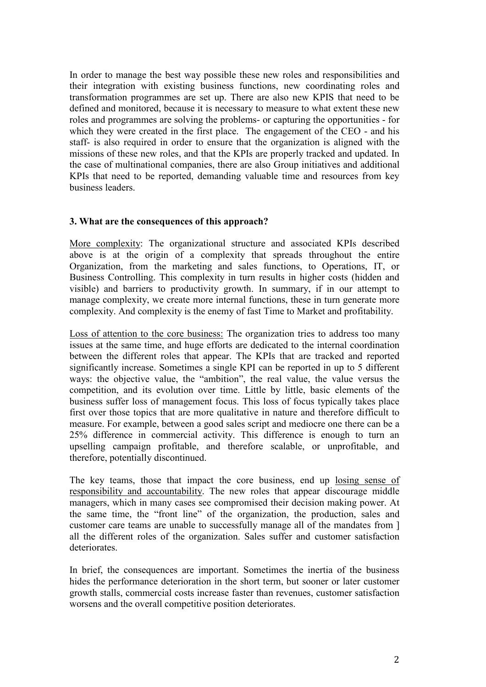In order to manage the best way possible these new roles and responsibilities and their integration with existing business functions, new coordinating roles and transformation programmes are set up. There are also new KPIS that need to be defined and monitored, because it is necessary to measure to what extent these new roles and programmes are solving the problems- or capturing the opportunities - for which they were created in the first place. The engagement of the CEO - and his staff- is also required in order to ensure that the organization is aligned with the missions of these new roles, and that the KPIs are properly tracked and updated. In the case of multinational companies, there are also Group initiatives and additional KPIs that need to be reported, demanding valuable time and resources from key business leaders.

#### 3. What are the consequences of this approach?

More complexity: The organizational structure and associated KPIs described above is at the origin of a complexity that spreads throughout the entire Organization, from the marketing and sales functions, to Operations, IT, or Business Controlling. This complexity in turn results in higher costs (hidden and visible) and barriers to productivity growth. In summary, if in our attempt to manage complexity, we create more internal functions, these in turn generate more complexity. And complexity is the enemy of fast Time to Market and profitability.

Loss of attention to the core business: The organization tries to address too many issues at the same time, and huge efforts are dedicated to the internal coordination between the different roles that appear. The KPIs that are tracked and reported significantly increase. Sometimes a single KPI can be reported in up to 5 different ways: the objective value, the "ambition", the real value, the value versus the competition, and its evolution over time. Little by little, basic elements of the business suffer loss of management focus. This loss of focus typically takes place first over those topics that are more qualitative in nature and therefore difficult to measure. For example, between a good sales script and mediocre one there can be a 25% difference in commercial activity. This difference is enough to turn an upselling campaign profitable, and therefore scalable, or unprofitable, and therefore, potentially discontinued.

The key teams, those that impact the core business, end up losing sense of responsibility and accountability. The new roles that appear discourage middle managers, which in many cases see compromised their decision making power. At the same time, the "front line" of the organization, the production, sales and customer care teams are unable to successfully manage all of the mandates from ] all the different roles of the organization. Sales suffer and customer satisfaction deteriorates.

In brief, the consequences are important. Sometimes the inertia of the business hides the performance deterioration in the short term, but sooner or later customer growth stalls, commercial costs increase faster than revenues, customer satisfaction worsens and the overall competitive position deteriorates.